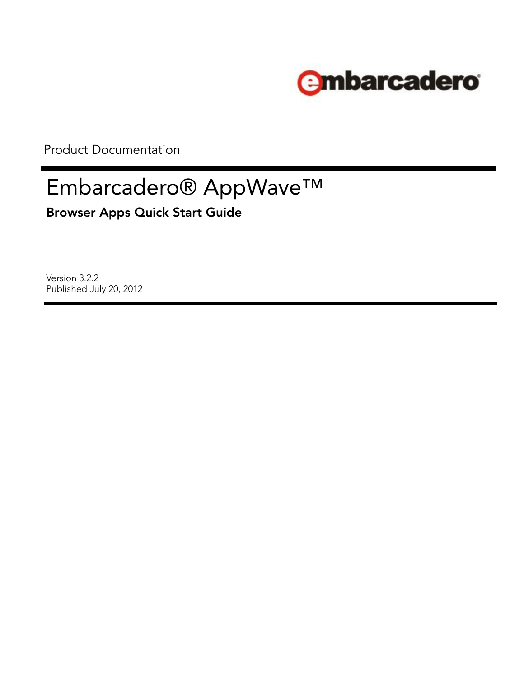

Product Documentation

# Embarcadero® AppWave™

Browser Apps Quick Start Guide

Version 3.2.2 Published July 20, 2012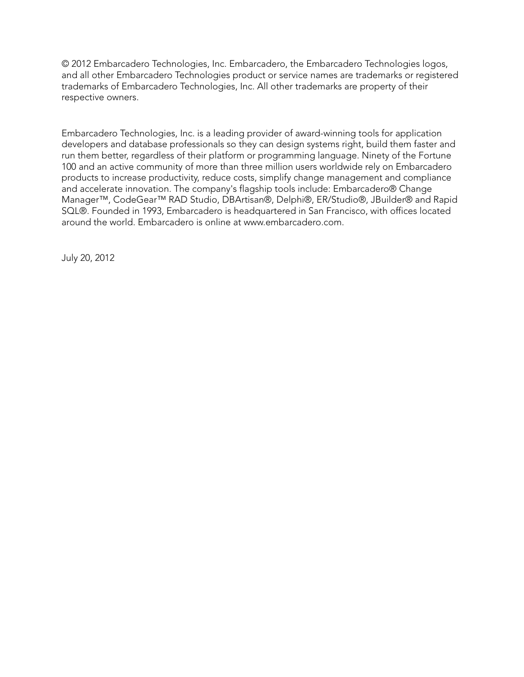© 2012 Embarcadero Technologies, Inc. Embarcadero, the Embarcadero Technologies logos, and all other Embarcadero Technologies product or service names are trademarks or registered trademarks of Embarcadero Technologies, Inc. All other trademarks are property of their respective owners.

Embarcadero Technologies, Inc. is a leading provider of award-winning tools for application developers and database professionals so they can design systems right, build them faster and run them better, regardless of their platform or programming language. Ninety of the Fortune 100 and an active community of more than three million users worldwide rely on Embarcadero products to increase productivity, reduce costs, simplify change management and compliance and accelerate innovation. The company's flagship tools include: Embarcadero® Change Manager™, CodeGear™ RAD Studio, DBArtisan®, Delphi®, ER/Studio®, JBuilder® and Rapid SQL®. Founded in 1993, Embarcadero is headquartered in San Francisco, with offices located around the world. Embarcadero is online at www.embarcadero.com.

July 20, 2012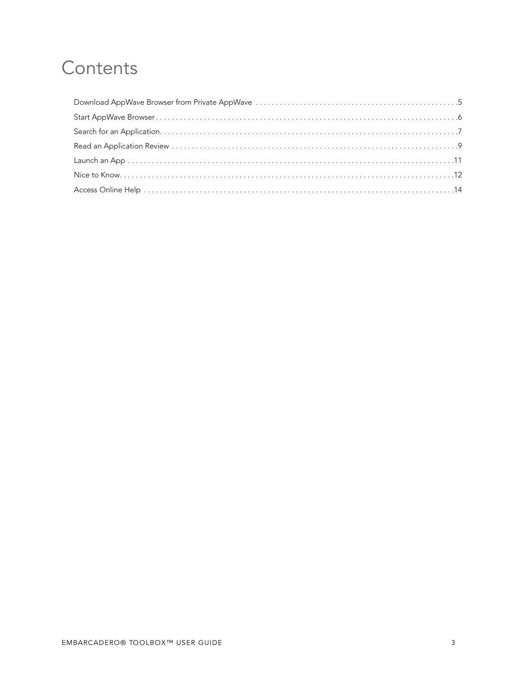# Contents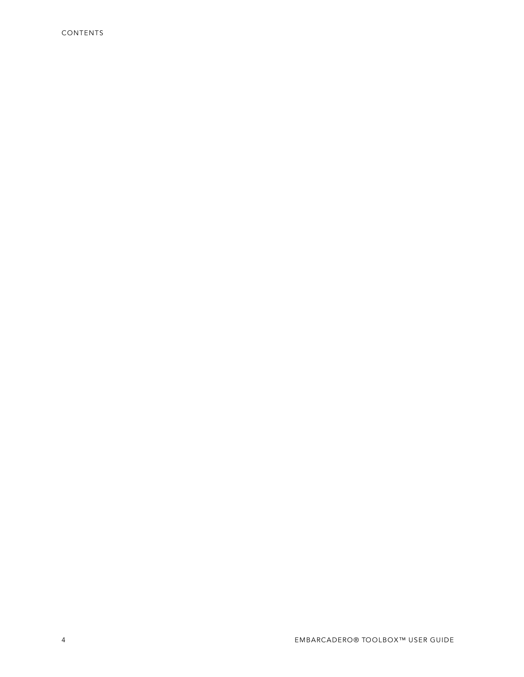CONTENTS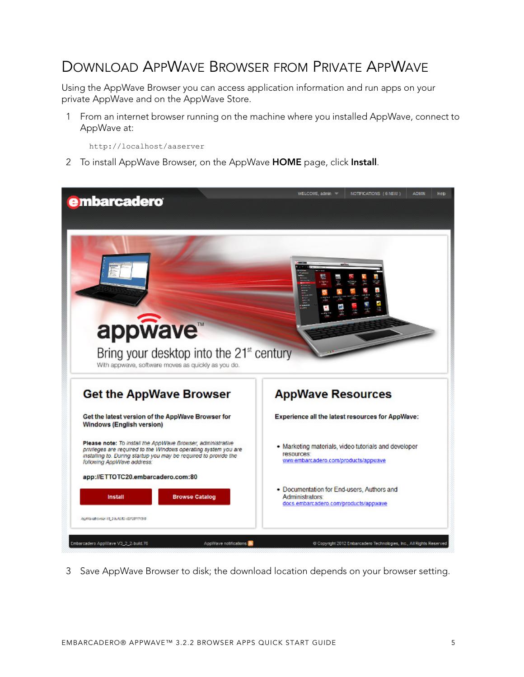# <span id="page-4-0"></span>DOWNLOAD APPWAVE BROWSER FROM PRIVATE APPWAVE

Using the AppWave Browser you can access application information and run apps on your private AppWave and on the AppWave Store.

1 From an internet browser running on the machine where you installed AppWave, connect to AppWave at:

http://localhost/aaserver

2 To install AppWave Browser, on the AppWave HOME page, click Install.



3 Save AppWave Browser to disk; the download location depends on your browser setting.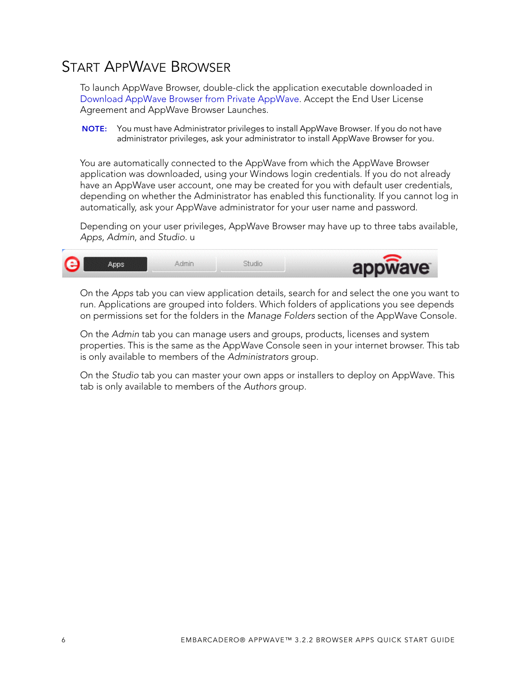# <span id="page-5-0"></span>START APPWAVE BROWSER

To launch AppWave Browser, double-click the application executable downloaded in [Download AppWave Browser from Private AppWave.](#page-4-0) Accept the End User License Agreement and AppWave Browser Launches.

NOTE: You must have Administrator privileges to install AppWave Browser. If you do not have administrator privileges, ask your administrator to install AppWave Browser for you.

You are automatically connected to the AppWave from which the AppWave Browser application was downloaded, using your Windows login credentials. If you do not already have an AppWave user account, one may be created for you with default user credentials, depending on whether the Administrator has enabled this functionality. If you cannot log in automatically, ask your AppWave administrator for your user name and password.

Depending on your user privileges, AppWave Browser may have up to three tabs available, Apps, Admin, and Studio. u



On the Apps tab you can view application details, search for and select the one you want to run. Applications are grouped into folders. Which folders of applications you see depends on permissions set for the folders in the Manage Folders section of the AppWave Console.

On the Admin tab you can manage users and groups, products, licenses and system properties. This is the same as the AppWave Console seen in your internet browser. This tab is only available to members of the Administrators group.

On the Studio tab you can master your own apps or installers to deploy on AppWave. This tab is only available to members of the Authors group.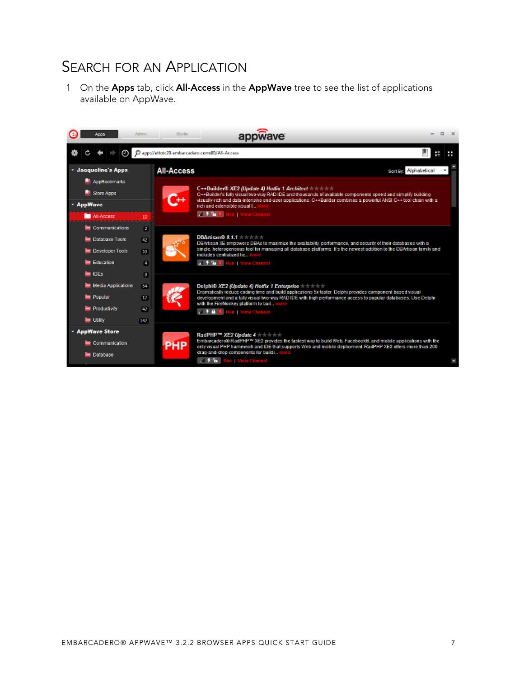#### <span id="page-6-0"></span>SEARCH FOR AN APPLICATION

1 On the Apps tab, click All-Access in the AppWave tree to see the list of applications available on AppWave.

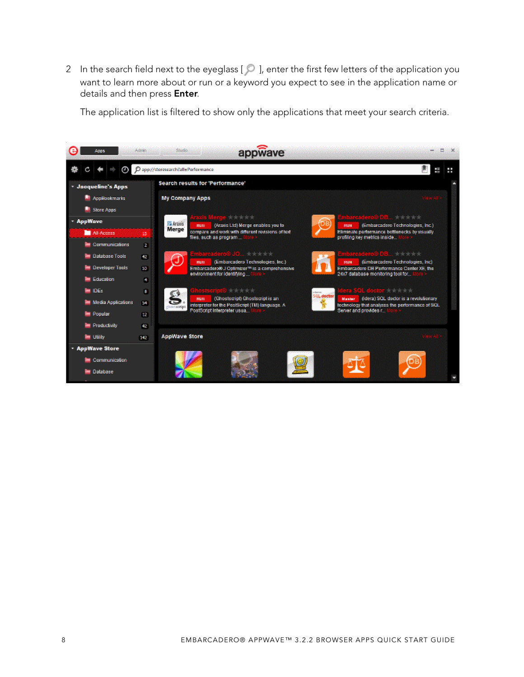2 In the search field next to the eyeglass  $[$   $]$ , enter the first few letters of the application you want to learn more about or run or a keyword you expect to see in the application name or details and then press Enter.

The application list is filtered to show only the applications that meet your search criteria.

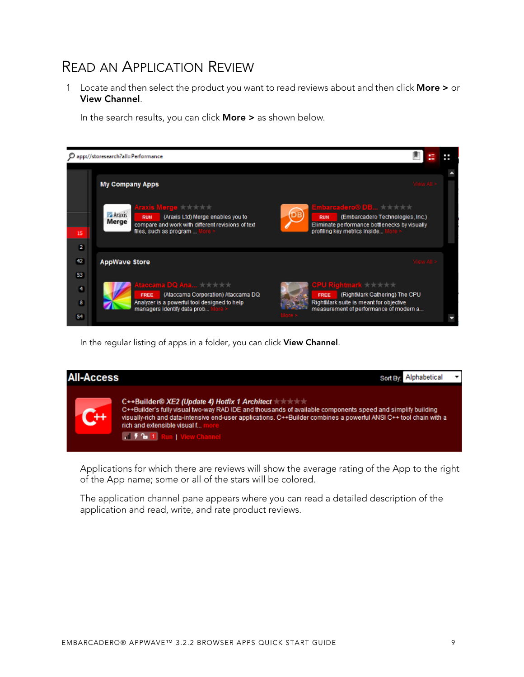#### <span id="page-8-0"></span>READ AN APPLICATION REVIEW

1 Locate and then select the product you want to read reviews about and then click More > or View Channel.

In the search results, you can click **More >** as shown below.



In the regular listing of apps in a folder, you can click View Channel.



Applications for which there are reviews will show the average rating of the App to the right of the App name; some or all of the stars will be colored.

The application channel pane appears where you can read a detailed description of the application and read, write, and rate product reviews.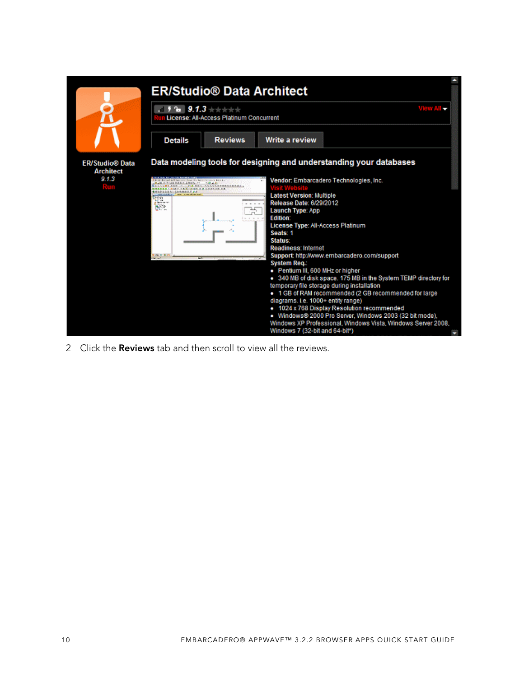

2 Click the Reviews tab and then scroll to view all the reviews.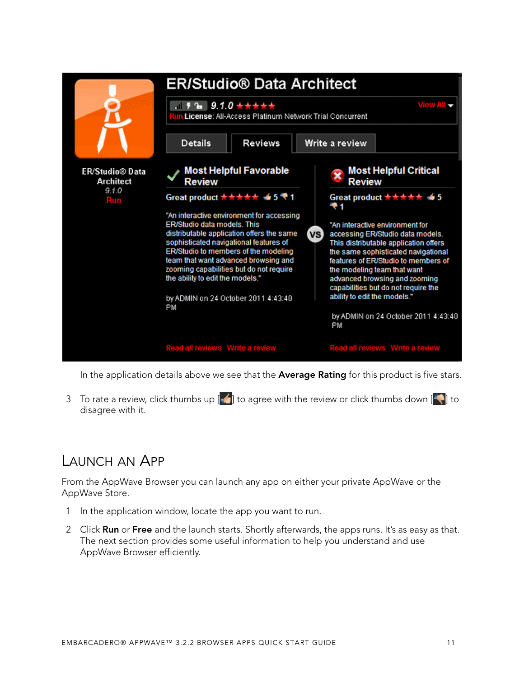

In the application details above we see that the **Average Rating** for this product is five stars.

3 To rate a review, click thumbs up  $\lceil \cdot \rceil$  to agree with the review or click thumbs down  $\lceil \cdot \rceil$  to disagree with it.

#### <span id="page-10-0"></span>LAUNCH AN APP

From the AppWave Browser you can launch any app on either your private AppWave or the AppWave Store.

- 1 In the application window, locate the app you want to run.
- 2 Click **Run** or **Free** and the launch starts. Shortly afterwards, the apps runs. It's as easy as that. The next section provides some useful information to help you understand and use AppWave Browser efficiently.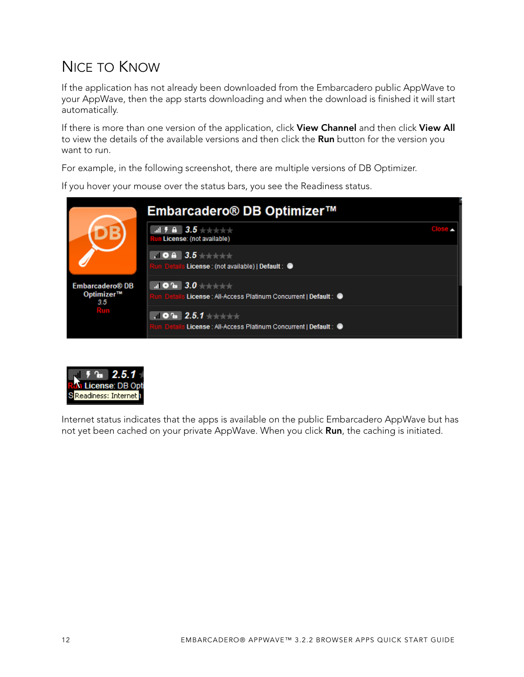# <span id="page-11-0"></span>NICE TO KNOW

If the application has not already been downloaded from the Embarcadero public AppWave to your AppWave, then the app starts downloading and when the download is finished it will start automatically.

If there is more than one version of the application, click View Channel and then click View All to view the details of the available versions and then click the Run button for the version you want to run.

For example, in the following screenshot, there are multiple versions of DB Optimizer.

If you hover your mouse over the status bars, you see the Readiness status.





Internet status indicates that the apps is available on the public Embarcadero AppWave but has not yet been cached on your private AppWave. When you click Run, the caching is initiated.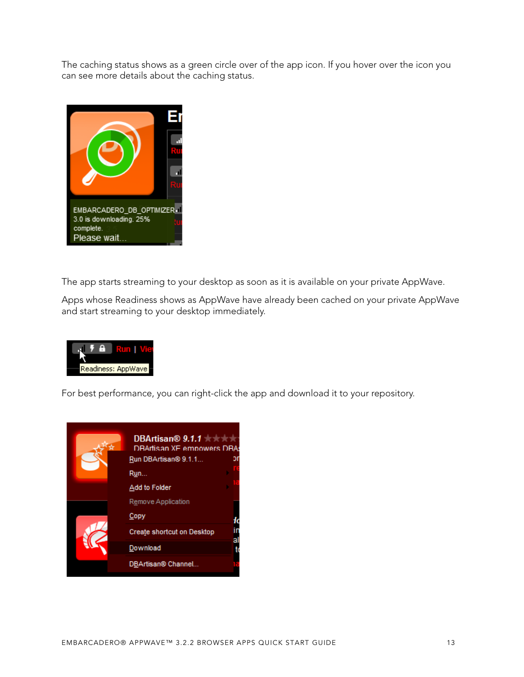The caching status shows as a green circle over of the app icon. If you hover over the icon you can see more details about the caching status.



The app starts streaming to your desktop as soon as it is available on your private AppWave.

Apps whose Readiness shows as AppWave have already been cached on your private AppWave and start streaming to your desktop immediately.



For best performance, you can right-click the app and download it to your repository.